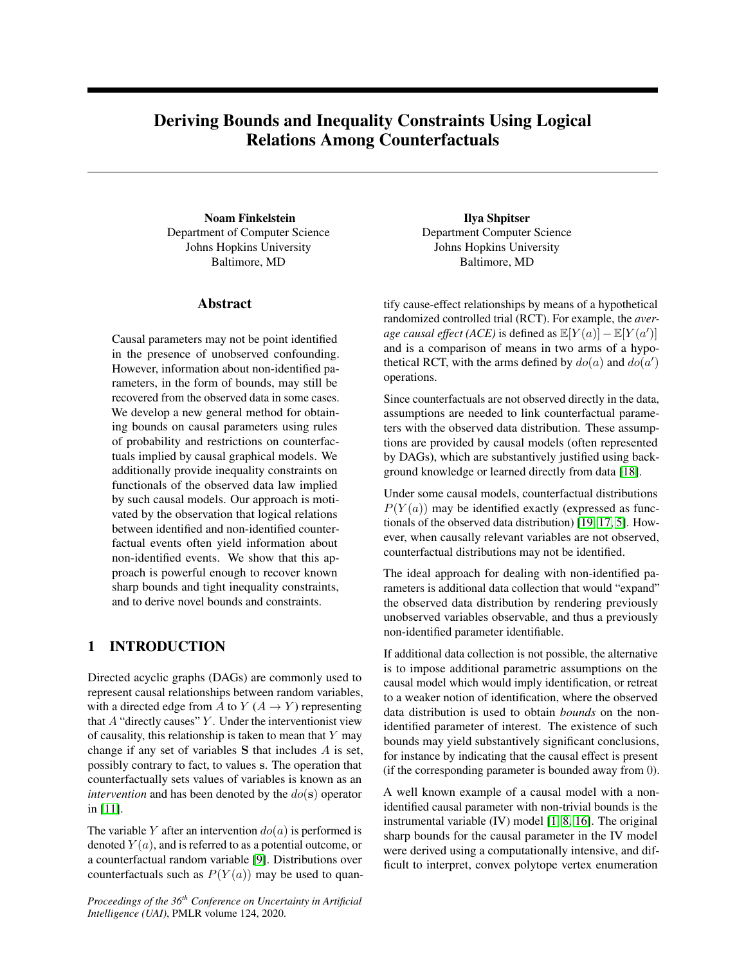# <span id="page-0-0"></span>Deriving Bounds and Inequality Constraints Using Logical Relations Among Counterfactuals

Noam Finkelstein Department of Computer Science Johns Hopkins University Baltimore, MD

## Abstract

Causal parameters may not be point identified in the presence of unobserved confounding. However, information about non-identified parameters, in the form of bounds, may still be recovered from the observed data in some cases. We develop a new general method for obtaining bounds on causal parameters using rules of probability and restrictions on counterfactuals implied by causal graphical models. We additionally provide inequality constraints on functionals of the observed data law implied by such causal models. Our approach is motivated by the observation that logical relations between identified and non-identified counterfactual events often yield information about non-identified events. We show that this approach is powerful enough to recover known sharp bounds and tight inequality constraints, and to derive novel bounds and constraints.

## 1 INTRODUCTION

Directed acyclic graphs (DAGs) are commonly used to represent causal relationships between random variables, with a directed edge from A to Y ( $A \rightarrow Y$ ) representing that  $A$  "directly causes"  $Y$ . Under the interventionist view of causality, this relationship is taken to mean that  $Y$  may change if any set of variables S that includes A is set, possibly contrary to fact, to values s. The operation that counterfactually sets values of variables is known as an *intervention* and has been denoted by the  $do(s)$  operator in [\[11\]](#page-9-0).

The variable Y after an intervention  $do(a)$  is performed is denoted  $Y(a)$ , and is referred to as a potential outcome, or a counterfactual random variable [\[9\]](#page-9-1). Distributions over counterfactuals such as  $P(Y(a))$  may be used to quan-

*Proceedings of the 36th Conference on Uncertainty in Artificial Intelligence (UAI)*, PMLR volume 124, 2020.

Ilya Shpitser Department Computer Science Johns Hopkins University Baltimore, MD

tify cause-effect relationships by means of a hypothetical randomized controlled trial (RCT). For example, the *average causal effect (ACE)* is defined as  $\mathbb{E}[Y(a)] - \mathbb{E}[Y(a')]$ and is a comparison of means in two arms of a hypothetical RCT, with the arms defined by  $do(a)$  and  $do(a')$ operations.

Since counterfactuals are not observed directly in the data, assumptions are needed to link counterfactual parameters with the observed data distribution. These assumptions are provided by causal models (often represented by DAGs), which are substantively justified using background knowledge or learned directly from data [\[18\]](#page-9-2).

Under some causal models, counterfactual distributions  $P(Y(a))$  may be identified exactly (expressed as functionals of the observed data distribution) [\[19,](#page-9-3) [17,](#page-9-4) [5\]](#page-9-5). However, when causally relevant variables are not observed, counterfactual distributions may not be identified.

The ideal approach for dealing with non-identified parameters is additional data collection that would "expand" the observed data distribution by rendering previously unobserved variables observable, and thus a previously non-identified parameter identifiable.

If additional data collection is not possible, the alternative is to impose additional parametric assumptions on the causal model which would imply identification, or retreat to a weaker notion of identification, where the observed data distribution is used to obtain *bounds* on the nonidentified parameter of interest. The existence of such bounds may yield substantively significant conclusions, for instance by indicating that the causal effect is present (if the corresponding parameter is bounded away from 0).

A well known example of a causal model with a nonidentified causal parameter with non-trivial bounds is the instrumental variable (IV) model [\[1,](#page-9-6) [8,](#page-9-7) [16\]](#page-9-8). The original sharp bounds for the causal parameter in the IV model were derived using a computationally intensive, and difficult to interpret, convex polytope vertex enumeration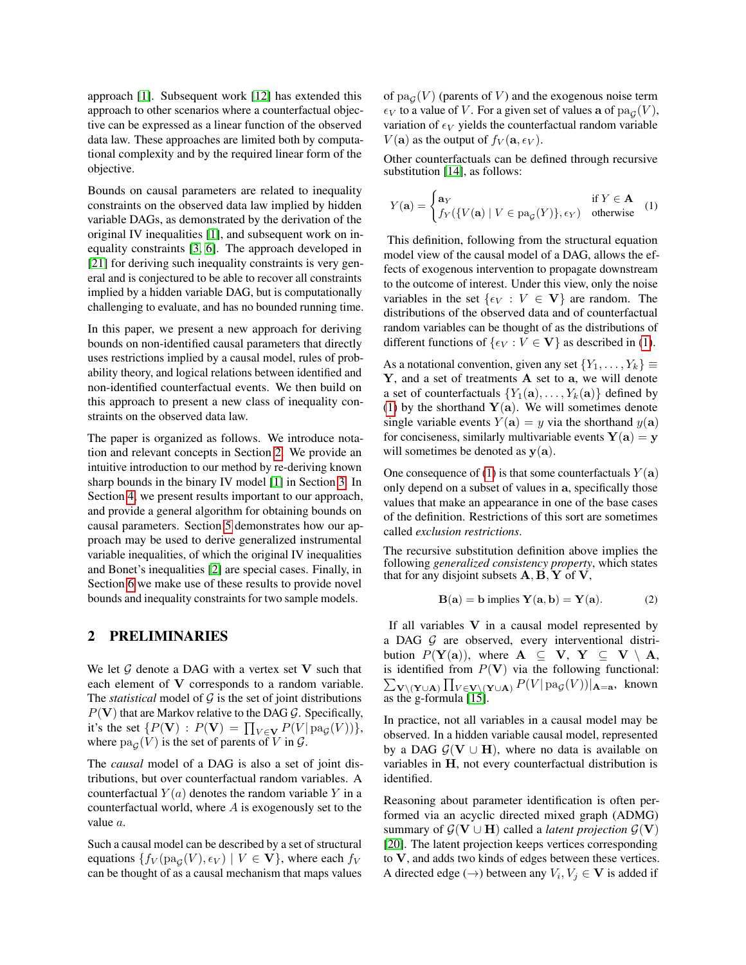approach [\[1\]](#page-9-6). Subsequent work [\[12\]](#page-9-9) has extended this approach to other scenarios where a counterfactual objective can be expressed as a linear function of the observed data law. These approaches are limited both by computational complexity and by the required linear form of the objective.

Bounds on causal parameters are related to inequality constraints on the observed data law implied by hidden variable DAGs, as demonstrated by the derivation of the original IV inequalities [\[1\]](#page-9-6), and subsequent work on inequality constraints [\[3,](#page-9-10) [6\]](#page-9-11). The approach developed in [\[21\]](#page-9-12) for deriving such inequality constraints is very general and is conjectured to be able to recover all constraints implied by a hidden variable DAG, but is computationally challenging to evaluate, and has no bounded running time.

In this paper, we present a new approach for deriving bounds on non-identified causal parameters that directly uses restrictions implied by a causal model, rules of probability theory, and logical relations between identified and non-identified counterfactual events. We then build on this approach to present a new class of inequality constraints on the observed data law.

The paper is organized as follows. We introduce notation and relevant concepts in Section [2.](#page-1-0) We provide an intuitive introduction to our method by re-deriving known sharp bounds in the binary IV model [\[1\]](#page-9-6) in Section [3.](#page-2-0) In Section [4,](#page-4-0) we present results important to our approach, and provide a general algorithm for obtaining bounds on causal parameters. Section [5](#page-7-0) demonstrates how our approach may be used to derive generalized instrumental variable inequalities, of which the original IV inequalities and Bonet's inequalities [\[2\]](#page-9-13) are special cases. Finally, in Section [6](#page-7-1) we make use of these results to provide novel bounds and inequality constraints for two sample models.

## <span id="page-1-0"></span>2 PRELIMINARIES

We let  $G$  denote a DAG with a vertex set V such that each element of V corresponds to a random variable. The *statistical* model of  $G$  is the set of joint distributions  $P(V)$  that are Markov relative to the DAG G. Specifically, it's the set  $\{P(\mathbf{V}) : P(\mathbf{V}) = \prod_{V \in \mathbf{V}} P(V | pa_{\mathcal{G}}(V))\},\$ where  $pa_{\mathcal{G}}(V)$  is the set of parents of V in  $\mathcal{G}$ .

The *causal* model of a DAG is also a set of joint distributions, but over counterfactual random variables. A counterfactual  $Y(a)$  denotes the random variable Y in a counterfactual world, where  $A$  is exogenously set to the value a.

Such a causal model can be described by a set of structural equations  $\{f_V(\text{pa}_\mathcal{G}(V), \epsilon_V) \mid V \in \mathbf{V}\}$ , where each  $f_V$ can be thought of as a causal mechanism that maps values

of  $\text{pa}_{\mathcal{G}}(V)$  (parents of V) and the exogenous noise term  $\epsilon_V$  to a value of V. For a given set of values **a** of  $\text{pa}_{\mathcal{G}}(V)$ , variation of  $\epsilon_V$  yields the counterfactual random variable  $V(\mathbf{a})$  as the output of  $f_V(\mathbf{a}, \epsilon_V)$ .

Other counterfactuals can be defined through recursive substitution [\[14\]](#page-9-14), as follows:

<span id="page-1-1"></span>
$$
Y(\mathbf{a}) = \begin{cases} \mathbf{a}_Y & \text{if } Y \in \mathbf{A} \\ f_Y(\{V(\mathbf{a}) \mid V \in \text{pa}_{\mathcal{G}}(Y)\}, \epsilon_Y) & \text{otherwise} \end{cases}
$$
 (1)

This definition, following from the structural equation model view of the causal model of a DAG, allows the effects of exogenous intervention to propagate downstream to the outcome of interest. Under this view, only the noise variables in the set  $\{\epsilon_V : V \in V\}$  are random. The distributions of the observed data and of counterfactual random variables can be thought of as the distributions of different functions of  $\{\epsilon_V : V \in V\}$  as described in [\(1\)](#page-1-1).

As a notational convention, given any set  $\{Y_1, \ldots, Y_k\} \equiv$ Y, and a set of treatments A set to a, we will denote a set of counterfactuals  $\{Y_1(\mathbf{a}), \ldots, Y_k(\mathbf{a})\}$  defined by [\(1\)](#page-1-1) by the shorthand  $Y(a)$ . We will sometimes denote single variable events  $Y(\mathbf{a}) = y$  via the shorthand  $y(\mathbf{a})$ for conciseness, similarly multivariable events  $Y(a) = y$ will sometimes be denoted as  $y(a)$ .

One consequence of [\(1\)](#page-1-1) is that some counterfactuals  $Y(\mathbf{a})$ only depend on a subset of values in a, specifically those values that make an appearance in one of the base cases of the definition. Restrictions of this sort are sometimes called *exclusion restrictions*.

The recursive substitution definition above implies the following *generalized consistency property*, which states that for any disjoint subsets  $\mathbf{A}, \mathbf{B}, \mathbf{Y}$  of  $\mathbf{V},$ 

$$
\mathbf{B}(\mathbf{a}) = \mathbf{b} \text{ implies } \mathbf{Y}(\mathbf{a}, \mathbf{b}) = \mathbf{Y}(\mathbf{a}). \tag{2}
$$

If all variables  $V$  in a causal model represented by a DAG  $G$  are observed, every interventional distribution  $P(Y(a))$ , where  $A \subseteq V$ ,  $Y \subseteq V \setminus A$ , is identified from  $P(V)$  via the following functional:  $\sum_{\mathbf{V} \setminus (\mathbf{Y} \cup \mathbf{A})} \prod_{V \in \mathbf{V} \setminus (\mathbf{Y} \cup \mathbf{A})} P(V | \text{pa}_{\mathcal{G}}(V)) |_{\mathbf{A}=\mathbf{a}}$ , known as the g-formula [\[15\]](#page-9-15).

In practice, not all variables in a causal model may be observed. In a hidden variable causal model, represented by a DAG  $G(V \cup H)$ , where no data is available on variables in H, not every counterfactual distribution is identified.

Reasoning about parameter identification is often performed via an acyclic directed mixed graph (ADMG) summary of  $\mathcal{G}(\mathbf{V} \cup \mathbf{H})$  called a *latent projection*  $\mathcal{G}(\mathbf{V})$ [\[20\]](#page-9-16). The latent projection keeps vertices corresponding to V, and adds two kinds of edges between these vertices. A directed edge ( $\rightarrow$ ) between any  $V_i, V_j \in V$  is added if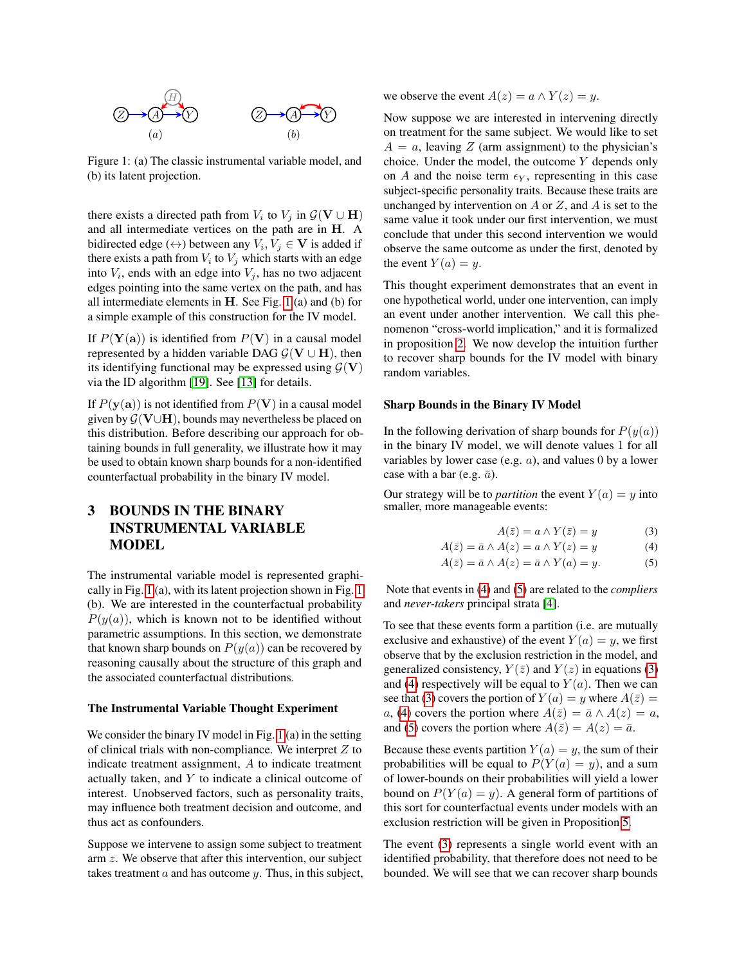<span id="page-2-1"></span>

Figure 1: (a) The classic instrumental variable model, and (b) its latent projection.

there exists a directed path from  $V_i$  to  $V_j$  in  $\mathcal{G}(\mathbf{V} \cup \mathbf{H})$ and all intermediate vertices on the path are in H. A bidirected edge ( $\leftrightarrow$ ) between any  $V_i, V_j \in \mathbf{V}$  is added if there exists a path from  $V_i$  to  $V_j$  which starts with an edge into  $V_i$ , ends with an edge into  $V_j$ , has no two adjacent edges pointing into the same vertex on the path, and has all intermediate elements in H. See Fig. [1](#page-2-1) (a) and (b) for a simple example of this construction for the IV model.

If  $P(Y(a))$  is identified from  $P(V)$  in a causal model represented by a hidden variable DAG  $\mathcal{G}(\mathbf{V} \cup \mathbf{H})$ , then its identifying functional may be expressed using  $G(V)$ via the ID algorithm [\[19\]](#page-9-3). See [\[13\]](#page-9-17) for details.

If  $P(y(a))$  is not identified from  $P(V)$  in a causal model given by  $G(V \cup H)$ , bounds may nevertheless be placed on this distribution. Before describing our approach for obtaining bounds in full generality, we illustrate how it may be used to obtain known sharp bounds for a non-identified counterfactual probability in the binary IV model.

## <span id="page-2-0"></span>3 BOUNDS IN THE BINARY INSTRUMENTAL VARIABLE MODEL

The instrumental variable model is represented graphically in Fig. [1](#page-2-1) (a), with its latent projection shown in Fig. [1](#page-2-1) (b). We are interested in the counterfactual probability  $P(y(a))$ , which is known not to be identified without parametric assumptions. In this section, we demonstrate that known sharp bounds on  $P(y(a))$  can be recovered by reasoning causally about the structure of this graph and the associated counterfactual distributions.

#### The Instrumental Variable Thought Experiment

We consider the binary IV model in Fig. [1](#page-2-1) (a) in the setting of clinical trials with non-compliance. We interpret  $Z$  to indicate treatment assignment, A to indicate treatment actually taken, and  $Y$  to indicate a clinical outcome of interest. Unobserved factors, such as personality traits, may influence both treatment decision and outcome, and thus act as confounders.

Suppose we intervene to assign some subject to treatment arm z. We observe that after this intervention, our subject takes treatment  $a$  and has outcome  $y$ . Thus, in this subject, we observe the event  $A(z) = a \wedge Y(z) = y$ .

Now suppose we are interested in intervening directly on treatment for the same subject. We would like to set  $A = a$ , leaving Z (arm assignment) to the physician's choice. Under the model, the outcome Y depends only on A and the noise term  $\epsilon_Y$ , representing in this case subject-specific personality traits. Because these traits are unchanged by intervention on A or Z, and A is set to the same value it took under our first intervention, we must conclude that under this second intervention we would observe the same outcome as under the first, denoted by the event  $Y(a) = y$ .

This thought experiment demonstrates that an event in one hypothetical world, under one intervention, can imply an event under another intervention. We call this phenomenon "cross-world implication," and it is formalized in proposition [2.](#page-4-1) We now develop the intuition further to recover sharp bounds for the IV model with binary random variables.

#### <span id="page-2-5"></span>Sharp Bounds in the Binary IV Model

In the following derivation of sharp bounds for  $P(y(a))$ in the binary IV model, we will denote values 1 for all variables by lower case (e.g.  $a$ ), and values 0 by a lower case with a bar (e.g.  $\bar{a}$ ).

Our strategy will be to *partition* the event  $Y(a) = y$  into smaller, more manageable events:

<span id="page-2-4"></span><span id="page-2-3"></span><span id="page-2-2"></span>
$$
A(\bar{z}) = a \wedge Y(\bar{z}) = y \tag{3}
$$

$$
A(\bar{z}) = \bar{a} \wedge A(z) = a \wedge Y(z) = y \tag{4}
$$

$$
A(\bar{z}) = \bar{a} \wedge A(z) = \bar{a} \wedge Y(a) = y.
$$
 (5)

Note that events in [\(4\)](#page-2-2) and [\(5\)](#page-2-3) are related to the *compliers* and *never-takers* principal strata [\[4\]](#page-9-18).

To see that these events form a partition (i.e. are mutually exclusive and exhaustive) of the event  $Y(a) = y$ , we first observe that by the exclusion restriction in the model, and generalized consistency,  $Y(\bar{z})$  and  $Y(z)$  in equations [\(3\)](#page-2-4) and [\(4\)](#page-2-2) respectively will be equal to  $Y(a)$ . Then we can see that [\(3\)](#page-2-4) covers the portion of  $Y(a) = y$  where  $A(\overline{z}) =$ a, [\(4\)](#page-2-2) covers the portion where  $A(\bar{z}) = \bar{a} \wedge A(z) = a$ , and [\(5\)](#page-2-3) covers the portion where  $A(\overline{z}) = A(z) = \overline{a}$ .

Because these events partition  $Y(a) = y$ , the sum of their probabilities will be equal to  $P(Y(a) = y)$ , and a sum of lower-bounds on their probabilities will yield a lower bound on  $P(Y(a) = y)$ . A general form of partitions of this sort for counterfactual events under models with an exclusion restriction will be given in Proposition [5.](#page-5-0)

The event [\(3\)](#page-2-4) represents a single world event with an identified probability, that therefore does not need to be bounded. We will see that we can recover sharp bounds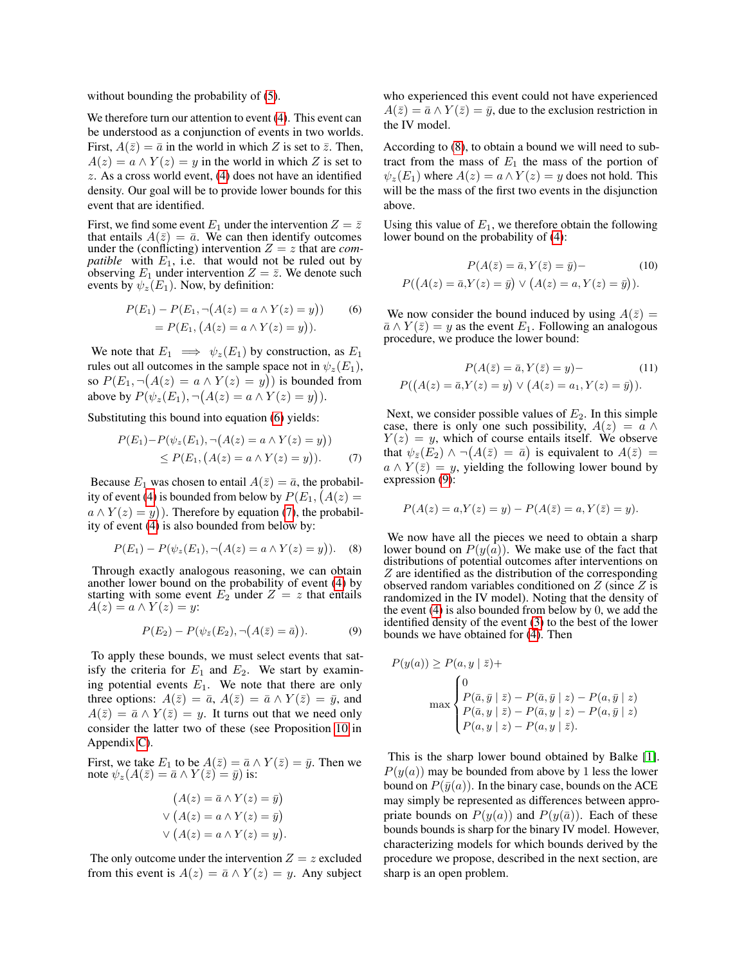without bounding the probability of [\(5\)](#page-2-3).

We therefore turn our attention to event  $(4)$ . This event can be understood as a conjunction of events in two worlds. First,  $A(\bar{z}) = \bar{a}$  in the world in which Z is set to  $\bar{z}$ . Then,  $A(z) = a \wedge Y(z) = y$  in the world in which Z is set to z. As a cross world event, [\(4\)](#page-2-2) does not have an identified density. Our goal will be to provide lower bounds for this event that are identified.

First, we find some event  $E_1$  under the intervention  $Z = \overline{z}$ that entails  $A(\bar{z}) = \bar{a}$ . We can then identify outcomes under the (conflicting) intervention  $Z = z$  that are *compatible* with  $E_1$ , i.e. that would not be ruled out by observing  $E_1$  under intervention  $Z = \overline{z}$ . We denote such events by  $\psi_z(E_1)$ . Now, by definition:

$$
P(E_1) - P(E_1, \neg(A(z) = a \land Y(z) = y))
$$
(6)  
=  $P(E_1, (A(z) = a \land Y(z) = y)).$ 

We note that  $E_1 \implies \psi_z(E_1)$  by construction, as  $E_1$ rules out all outcomes in the sample space not in  $\psi_z(E_1)$ , so  $P(E_1, \neg(A(z) = a \land Y(z) = y))$  is bounded from above by  $P(\psi_z(E_1), \neg (A(z) = a \land Y(z) = y)).$ 

Substituting this bound into equation [\(6\)](#page-3-0) yields:

$$
P(E_1) - P(\psi_z(E_1), \neg(A(z) = a \land Y(z) = y))
$$
  
\n
$$
\leq P(E_1, (A(z) = a \land Y(z) = y)).
$$
 (7)

Because  $E_1$  was chosen to entail  $A(\bar{z}) = \bar{a}$ , the probabil-ity of event [\(4\)](#page-2-2) is bounded from below by  $P(E_1, (A(z) =$  $a \wedge Y(z) = y$ ). Therefore by equation [\(7\)](#page-3-1), the probability of event [\(4\)](#page-2-2) is also bounded from below by:

$$
P(E_1) - P(\psi_z(E_1), \neg (A(z) = a \land Y(z) = y)).
$$
 (8)

Through exactly analogous reasoning, we can obtain another lower bound on the probability of event [\(4\)](#page-2-2) by starting with some event  $E_2$  under  $Z = z$  that entails  $A(z) = a \wedge Y(z) = y$ :

$$
P(E_2) - P(\psi_{\bar{z}}(E_2), \neg (A(\bar{z}) = \bar{a})). \tag{9}
$$

To apply these bounds, we must select events that satisfy the criteria for  $E_1$  and  $E_2$ . We start by examining potential events  $E_1$ . We note that there are only three options:  $A(\bar{z}) = \bar{a}$ ,  $A(\bar{z}) = \bar{a} \wedge Y(\bar{z}) = \bar{y}$ , and  $A(\bar{z}) = \bar{a} \wedge Y(\bar{z}) = y$ . It turns out that we need only consider the latter two of these (see Proposition [10](#page-0-0) in Appendix [C\)](#page-0-0).

First, we take  $E_1$  to be  $A(\overline{z}) = \overline{a} \wedge Y(\overline{z}) = \overline{y}$ . Then we note  $\psi_z(A(\bar{z}) = \bar{a} \wedge Y(\bar{z}) = \bar{y}$ ) is:

$$
(A(z) = \bar{a} \land Y(z) = \bar{y})
$$
  
 
$$
\lor (A(z) = a \land Y(z) = \bar{y})
$$
  
 
$$
\lor (A(z) = a \land Y(z) = y).
$$

The only outcome under the intervention  $Z = z$  excluded from this event is  $A(z) = \overline{a} \wedge Y(z) = y$ . Any subject who experienced this event could not have experienced  $A(\bar{z}) = \bar{a} \wedge Y(\bar{z}) = \bar{y}$ , due to the exclusion restriction in the IV model.

According to [\(8\)](#page-3-2), to obtain a bound we will need to subtract from the mass of  $E_1$  the mass of the portion of  $\psi_z(E_1)$  where  $A(z) = a \wedge Y(z) = y$  does not hold. This will be the mass of the first two events in the disjunction above.

Using this value of  $E_1$ , we therefore obtain the following lower bound on the probability of [\(4\)](#page-2-2):

$$
P(A(\overline{z}) = \overline{a}, Y(\overline{z}) = \overline{y}) - \qquad (10)
$$

$$
P((A(z) = \overline{a}, Y(z) = \overline{y}) \lor (A(z) = a, Y(z) = \overline{y})).
$$

<span id="page-3-0"></span>We now consider the bound induced by using  $A(\bar{z}) =$  $\overline{a} \wedge Y(\overline{z}) = y$  as the event  $E_1$ . Following an analogous procedure, we produce the lower bound:

$$
P(A(\bar{z}) = \bar{a}, Y(\bar{z}) = y) - \qquad (11)
$$

$$
P((A(z) = \bar{a}, Y(z) = y) \lor (A(z) = a_1, Y(z) = \bar{y})).
$$

<span id="page-3-1"></span>Next, we consider possible values of  $E_2$ . In this simple case, there is only one such possibility,  $A(z) = a \wedge$  $Y(z) = y$ , which of course entails itself. We observe that  $\psi_{\bar{z}}(E_2) \wedge \neg(A(\bar{z}) = \bar{a})$  is equivalent to  $A(\bar{z}) =$  $a \wedge Y(\bar{z}) = y$ , yielding the following lower bound by expression [\(9\)](#page-3-3):

$$
P(A(z) = a, Y(z) = y) - P(A(\bar{z}) = a, Y(\bar{z}) = y).
$$

<span id="page-3-2"></span>We now have all the pieces we need to obtain a sharp lower bound on  $P(y(a))$ . We make use of the fact that distributions of potential outcomes after interventions on Z are identified as the distribution of the corresponding observed random variables conditioned on  $Z$  (since  $Z$  is randomized in the IV model). Noting that the density of the event [\(4\)](#page-2-2) is also bounded from below by 0, we add the identified density of the event [\(3\)](#page-2-4) to the best of the lower bounds we have obtained for [\(4\)](#page-2-2). Then

<span id="page-3-3"></span>
$$
P(y(a)) \ge P(a, y | \bar{z}) +
$$
  

$$
\max \begin{cases} 0 \\ P(\bar{a}, \bar{y} | \bar{z}) - P(\bar{a}, \bar{y} | z) - P(a, \bar{y} | z) \\ P(\bar{a}, y | \bar{z}) - P(\bar{a}, y | z) - P(a, \bar{y} | z) \\ P(a, y | z) - P(a, y | \bar{z}). \end{cases}
$$

This is the sharp lower bound obtained by Balke [\[1\]](#page-9-6).  $P(y(a))$  may be bounded from above by 1 less the lower bound on  $P(\bar{y}(a))$ . In the binary case, bounds on the ACE may simply be represented as differences between appropriate bounds on  $P(y(a))$  and  $P(y(\bar{a}))$ . Each of these bounds bounds is sharp for the binary IV model. However, characterizing models for which bounds derived by the procedure we propose, described in the next section, are sharp is an open problem.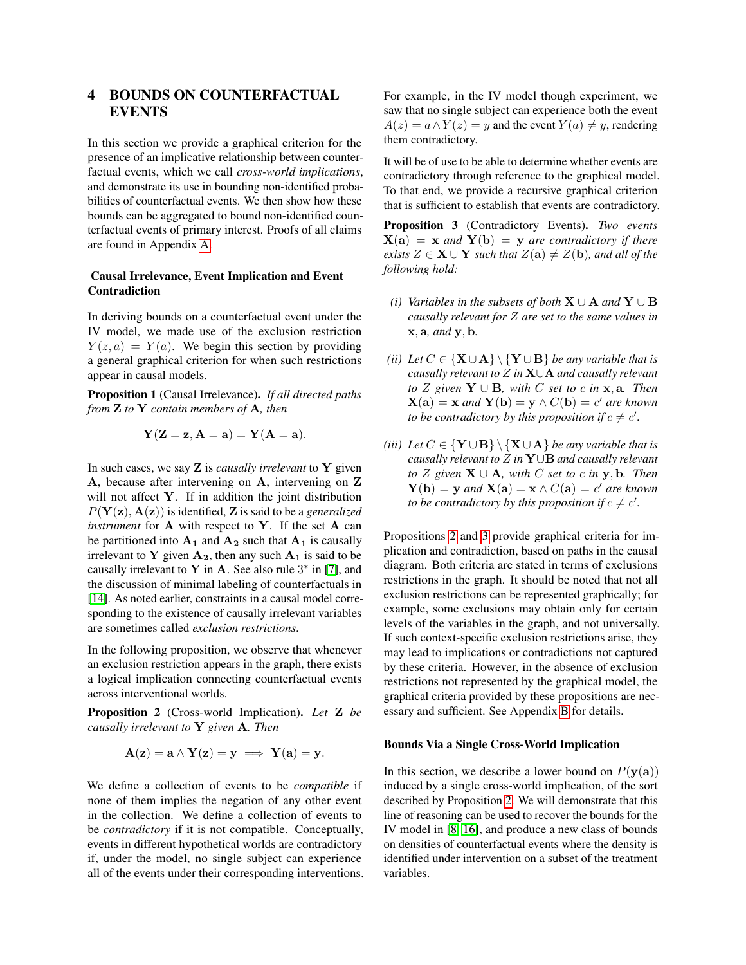## <span id="page-4-0"></span>4 BOUNDS ON COUNTERFACTUAL EVENTS

In this section we provide a graphical criterion for the presence of an implicative relationship between counterfactual events, which we call *cross-world implications*, and demonstrate its use in bounding non-identified probabilities of counterfactual events. We then show how these bounds can be aggregated to bound non-identified counterfactual events of primary interest. Proofs of all claims are found in Appendix [A.](#page-0-0)

### Causal Irrelevance, Event Implication and Event Contradiction

In deriving bounds on a counterfactual event under the IV model, we made use of the exclusion restriction  $Y(z, a) = Y(a)$ . We begin this section by providing a general graphical criterion for when such restrictions appear in causal models.

Proposition 1 (Causal Irrelevance). *If all directed paths from* Z *to* Y *contain members of* A*, then*

$$
\mathbf{Y}(\mathbf{Z}=\mathbf{z}, \mathbf{A}=\mathbf{a})=\mathbf{Y}(\mathbf{A}=\mathbf{a}).
$$

In such cases, we say Z is *causally irrelevant* to Y given A, because after intervening on A, intervening on Z will not affect Y. If in addition the joint distribution  $P(Y(z), A(z))$  is identified, Z is said to be a *generalized instrument* for A with respect to Y. If the set A can be partitioned into  $A_1$  and  $A_2$  such that  $A_1$  is causally irrelevant to Y given  $A_2$ , then any such  $A_1$  is said to be causally irrelevant to Y in A. See also rule  $3^*$  in [\[7\]](#page-9-19), and the discussion of minimal labeling of counterfactuals in [\[14\]](#page-9-14). As noted earlier, constraints in a causal model corresponding to the existence of causally irrelevant variables are sometimes called *exclusion restrictions*.

In the following proposition, we observe that whenever an exclusion restriction appears in the graph, there exists a logical implication connecting counterfactual events across interventional worlds.

<span id="page-4-1"></span>Proposition 2 (Cross-world Implication). *Let* Z *be causally irrelevant to* Y *given* A*. Then*

$$
\mathbf{A}(\mathbf{z}) = \mathbf{a} \wedge \mathbf{Y}(\mathbf{z}) = \mathbf{y} \implies \mathbf{Y}(\mathbf{a}) = \mathbf{y}.
$$

We define a collection of events to be *compatible* if none of them implies the negation of any other event in the collection. We define a collection of events to be *contradictory* if it is not compatible. Conceptually, events in different hypothetical worlds are contradictory if, under the model, no single subject can experience all of the events under their corresponding interventions. For example, in the IV model though experiment, we saw that no single subject can experience both the event  $A(z) = a \wedge Y(z) = y$  and the event  $Y(a) \neq y$ , rendering them contradictory.

It will be of use to be able to determine whether events are contradictory through reference to the graphical model. To that end, we provide a recursive graphical criterion that is sufficient to establish that events are contradictory.

<span id="page-4-2"></span>Proposition 3 (Contradictory Events). *Two events*  $X(a) = x$  *and*  $Y(b) = y$  *are contradictory if there exists*  $Z \in \mathbf{X} \cup \mathbf{Y}$  *such that*  $Z(\mathbf{a}) \neq Z(\mathbf{b})$ *, and all of the following hold:*

- *(i) Variables in the subsets of both*  $X \cup A$  *and*  $Y \cup B$ *causally relevant for* Z *are set to the same values in* x, a*, and* y, b*.*
- *(ii) Let*  $C \in \{X \cup A\} \ \{Y \cup B\}$  *be any variable that is causally relevant to* Z *in* X∪A *and causally relevant to*  $Z$  *given*  $Y$  ∪ **B***, with*  $C$  *set to*  $c$  *in*  $x$ *,*  $a$ *. Then*  $\mathbf{X}(\mathbf{a}) = \mathbf{x}$  and  $\mathbf{Y}(\mathbf{b}) = \mathbf{y} \wedge C(\mathbf{b}) = c'$  are known *to be contradictory by this proposition if*  $c \neq c'$ .
- *(iii) Let*  $C \in \{Y \cup B\} \setminus \{X \cup A\}$  *be any variable that is causally relevant to* Z *in* Y∪B *and causally relevant to*  $Z$  *given*  $X ∪ A$ *, with*  $C$  *set to*  $c$  *in*  $y$ *,*  $b$ *. Then*  $Y(b) = y$  and  $X(a) = x \wedge C(a) = c'$  are known *to be contradictory by this proposition if*  $c \neq c'$ .

Propositions [2](#page-4-1) and [3](#page-4-2) provide graphical criteria for implication and contradiction, based on paths in the causal diagram. Both criteria are stated in terms of exclusions restrictions in the graph. It should be noted that not all exclusion restrictions can be represented graphically; for example, some exclusions may obtain only for certain levels of the variables in the graph, and not universally. If such context-specific exclusion restrictions arise, they may lead to implications or contradictions not captured by these criteria. However, in the absence of exclusion restrictions not represented by the graphical model, the graphical criteria provided by these propositions are necessary and sufficient. See Appendix [B](#page-0-0) for details.

#### Bounds Via a Single Cross-World Implication

In this section, we describe a lower bound on  $P(y(a))$ induced by a single cross-world implication, of the sort described by Proposition [2.](#page-4-1) We will demonstrate that this line of reasoning can be used to recover the bounds for the IV model in [\[8,](#page-9-7) [16\]](#page-9-8), and produce a new class of bounds on densities of counterfactual events where the density is identified under intervention on a subset of the treatment variables.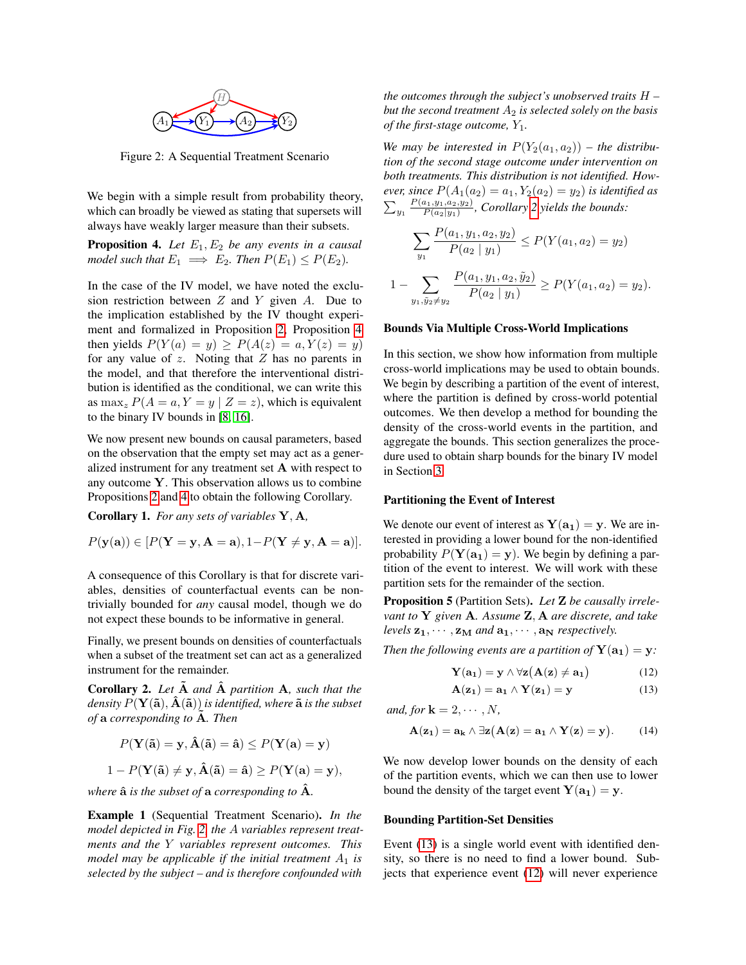<span id="page-5-2"></span>

Figure 2: A Sequential Treatment Scenario

We begin with a simple result from probability theory, which can broadly be viewed as stating that supersets will always have weakly larger measure than their subsets.

<span id="page-5-1"></span>**Proposition 4.** Let  $E_1, E_2$  be any events in a causal *model such that*  $E_1 \implies E_2$ *. Then*  $P(E_1) \leq P(E_2)$ *.* 

In the case of the IV model, we have noted the exclusion restriction between  $Z$  and  $Y$  given  $A$ . Due to the implication established by the IV thought experiment and formalized in Proposition [2,](#page-4-1) Proposition [4](#page-5-1) then yields  $P(Y(a) = y) > P(A(z) = a, Y(z) = y)$ for any value of  $z$ . Noting that  $Z$  has no parents in the model, and that therefore the interventional distribution is identified as the conditional, we can write this as  $\max_z P(A = a, Y = y \mid Z = z)$ , which is equivalent to the binary IV bounds in [\[8,](#page-9-7) [16\]](#page-9-8).

We now present new bounds on causal parameters, based on the observation that the empty set may act as a generalized instrument for any treatment set A with respect to any outcome  $Y$ . This observation allows us to combine Propositions [2](#page-4-1) and [4](#page-5-1) to obtain the following Corollary.

Corollary 1. *For any sets of variables* Y, A*,*

$$
P(\mathbf{y}(\mathbf{a})) \in [P(\mathbf{Y}=\mathbf{y}, \mathbf{A}=\mathbf{a}), 1 - P(\mathbf{Y} \neq \mathbf{y}, \mathbf{A}=\mathbf{a})].
$$

A consequence of this Corollary is that for discrete variables, densities of counterfactual events can be nontrivially bounded for *any* causal model, though we do not expect these bounds to be informative in general.

Finally, we present bounds on densities of counterfactuals when a subset of the treatment set can act as a generalized instrument for the remainder.

<span id="page-5-3"></span>Corollary 2. *Let* A˜ *and* Aˆ *partition* A*, such that the density*  $P(Y(\tilde{a}), \hat{A}(\tilde{a}))$  *is identified, where*  $\tilde{a}$  *is the subset of* a *corresponding to* A˜ *. Then*

$$
P(\mathbf{Y}(\tilde{\mathbf{a}}) = \mathbf{y}, \hat{\mathbf{A}}(\tilde{\mathbf{a}}) = \hat{\mathbf{a}}) \le P(\mathbf{Y}(\mathbf{a}) = \mathbf{y})
$$
  

$$
1 - P(\mathbf{Y}(\tilde{\mathbf{a}}) \neq \mathbf{y}, \hat{\mathbf{A}}(\tilde{\mathbf{a}}) = \hat{\mathbf{a}}) \ge P(\mathbf{Y}(\mathbf{a}) = \mathbf{y}),
$$

*where*  $\hat{a}$  *is the subset of*  $a$  *corresponding to*  $\hat{A}$ *.* 

Example 1 (Sequential Treatment Scenario). *In the model depicted in Fig. [2,](#page-5-2) the* A *variables represent treatments and the* Y *variables represent outcomes. This model may be applicable if the initial treatment*  $A_1$  *is selected by the subject – and is therefore confounded with*

*the outcomes through the subject's unobserved traits* H *– but the second treatment*  $A_2$  *is selected solely on the basis of the first-stage outcome,*  $Y_1$ *.* 

We may be interested in  $P(Y_2(a_1, a_2))$  – the distribu*tion of the second stage outcome under intervention on both treatments. This distribution is not identified. However, since*  $P(A_1(a_2) = a_1, Y_2(a_2) = y_2)$  *is identified as*  $\sum_{y_1} \frac{P(a_1,y_1,a_2,y_2)}{P(a_2|y_1)}$  $\frac{p_{(a_1,y_1,a_2,y_2)}}{P(a_2|y_1)}$ , Corollary [2](#page-5-3) yields the bounds:

$$
\sum_{y_1} \frac{P(a_1, y_1, a_2, y_2)}{P(a_2 | y_1)} \le P(Y(a_1, a_2) = y_2)
$$
  

$$
1 - \sum_{y_1, \tilde{y}_2 \neq y_2} \frac{P(a_1, y_1, a_2, \tilde{y}_2)}{P(a_2 | y_1)} \ge P(Y(a_1, a_2) = y_2).
$$

#### Bounds Via Multiple Cross-World Implications

In this section, we show how information from multiple cross-world implications may be used to obtain bounds. We begin by describing a partition of the event of interest, where the partition is defined by cross-world potential outcomes. We then develop a method for bounding the density of the cross-world events in the partition, and aggregate the bounds. This section generalizes the procedure used to obtain sharp bounds for the binary IV model in Section [3.](#page-2-5)

#### Partitioning the Event of Interest

We denote our event of interest as  $Y(a_1) = y$ . We are interested in providing a lower bound for the non-identified probability  $P(Y(a_1) = y)$ . We begin by defining a partition of the event to interest. We will work with these partition sets for the remainder of the section.

<span id="page-5-0"></span>Proposition 5 (Partition Sets). *Let* Z *be causally irrelevant to* Y *given* A*. Assume* Z, A *are discrete, and take levels*  $z_1, \dots, z_M$  *and*  $a_1, \dots, a_N$  *respectively.* 

*Then the following events are a partition of*  $Y(a_1) = y$ *:* 

<span id="page-5-5"></span><span id="page-5-4"></span>
$$
\mathbf{Y}(\mathbf{a_1}) = \mathbf{y} \wedge \forall \mathbf{z} (\mathbf{A}(\mathbf{z}) \neq \mathbf{a_1}) \tag{12}
$$

<span id="page-5-6"></span>
$$
\mathbf{A}(\mathbf{z}_1) = \mathbf{a}_1 \wedge \mathbf{Y}(\mathbf{z}_1) = \mathbf{y} \tag{13}
$$

*and, for*  $\mathbf{k} = 2, \cdots, N$ *,* 

$$
\mathbf{A}(\mathbf{z}_1) = \mathbf{a_k} \wedge \exists \mathbf{z} (\mathbf{A}(\mathbf{z}) = \mathbf{a_1} \wedge \mathbf{Y}(\mathbf{z}) = \mathbf{y}). \tag{14}
$$

We now develop lower bounds on the density of each of the partition events, which we can then use to lower bound the density of the target event  $Y(a_1) = y$ .

#### Bounding Partition-Set Densities

Event [\(13\)](#page-5-4) is a single world event with identified density, so there is no need to find a lower bound. Subjects that experience event [\(12\)](#page-5-5) will never experience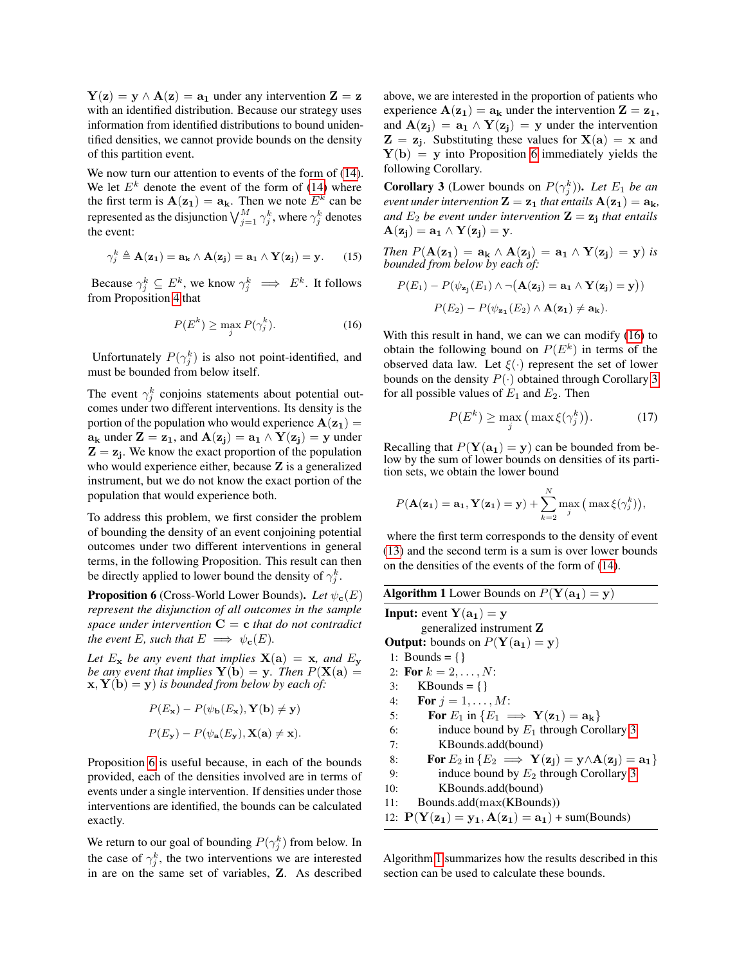$Y(z) = y \wedge A(z) = a_1$  under any intervention  $Z = z$ with an identified distribution. Because our strategy uses information from identified distributions to bound unidentified densities, we cannot provide bounds on the density of this partition event.

We now turn our attention to events of the form of  $(14)$ . We let  $E^k$  denote the event of the form of [\(14\)](#page-5-6) where the first term is  $A(z_1) = a_k$ . Then we note  $E^k$  can be represented as the disjunction  $\bigvee_{j=1}^{M} \gamma_j^k$ , where  $\gamma_j^k$  denotes the event:

$$
\gamma_j^k \triangleq \mathbf{A}(\mathbf{z}_1) = \mathbf{a_k} \wedge \mathbf{A}(\mathbf{z}_j) = \mathbf{a_1} \wedge \mathbf{Y}(\mathbf{z}_j) = \mathbf{y}.
$$
 (15)

Because  $\gamma_j^k \subseteq E^k$ , we know  $\gamma_j^k \implies E^k$ . It follows from Proposition [4](#page-5-1) that

$$
P(E^k) \ge \max_j P(\gamma_j^k). \tag{16}
$$

Unfortunately  $P(\gamma_j^k)$  is also not point-identified, and must be bounded from below itself.

The event  $\gamma_j^k$  conjoins statements about potential outcomes under two different interventions. Its density is the portion of the population who would experience  $A(z_1) =$  $a_k$  under  $\mathbf{Z} = \mathbf{z}_1$ , and  $\mathbf{A}(\mathbf{z}_i) = \mathbf{a}_1 \wedge \mathbf{Y}(\mathbf{z}_i) = \mathbf{y}$  under  $Z = z_j$ . We know the exact proportion of the population who would experience either, because **Z** is a generalized instrument, but we do not know the exact portion of the population that would experience both.

To address this problem, we first consider the problem of bounding the density of an event conjoining potential outcomes under two different interventions in general terms, in the following Proposition. This result can then be directly applied to lower bound the density of  $\gamma_j^k$ .

<span id="page-6-0"></span>**Proposition 6** (Cross-World Lower Bounds). *Let*  $\psi_{\mathbf{c}}(E)$ *represent the disjunction of all outcomes in the sample space under intervention* C = c *that do not contradict the event* E, such that  $E \implies \psi_{\mathbf{c}}(E)$ .

*Let*  $E_x$  *be any event that implies*  $X(a) = x$ *, and*  $E_y$ *be any event that implies*  $Y(b) = y$ *. Then*  $P(X(a) = y)$  $\mathbf{x}, \mathbf{Y}(\mathbf{b}) = \mathbf{y}$  *is bounded from below by each of:* 

$$
P(E_{\mathbf{x}}) - P(\psi_{\mathbf{b}}(E_{\mathbf{x}}), \mathbf{Y}(\mathbf{b}) \neq \mathbf{y})
$$
  

$$
P(E_{\mathbf{y}}) - P(\psi_{\mathbf{a}}(E_{\mathbf{y}}), \mathbf{X}(\mathbf{a}) \neq \mathbf{x}).
$$

Proposition [6](#page-6-0) is useful because, in each of the bounds provided, each of the densities involved are in terms of events under a single intervention. If densities under those interventions are identified, the bounds can be calculated exactly.

We return to our goal of bounding  $P(\gamma_j^k)$  from below. In the case of  $\gamma_j^k$ , the two interventions we are interested in are on the same set of variables, Z. As described above, we are interested in the proportion of patients who experience  $A(z_1) = a_k$  under the intervention  $Z = z_1$ , and  $A(z_j) = a_1 \wedge Y(z_j) = y$  under the intervention  $Z = z_j$ . Substituting these values for  $X(a) = x$  and  $Y(b) = y$  into Proposition [6](#page-6-0) immediately yields the following Corollary.

<span id="page-6-2"></span>**Corollary 3** (Lower bounds on  $P(\gamma_j^k)$ ). Let  $E_1$  be an *event under intervention*  $\mathbf{Z} = \mathbf{z_1}$  *that entails*  $\mathbf{A}(\mathbf{z_1}) = \mathbf{a_k}$ *,* and  $E_2$  be event under intervention  $\mathbf{Z} = \mathbf{z}_j$  that entails  $\mathbf{A}(\mathbf{z_i}) = \mathbf{a_1} \wedge \mathbf{Y}(\mathbf{z_i}) = \mathbf{y}.$ 

*Then*  $P(\mathbf{A}(\mathbf{z_1}) = \mathbf{a_k} \wedge \mathbf{A}(\mathbf{z_j}) = \mathbf{a_1} \wedge \mathbf{Y}(\mathbf{z_j}) = \mathbf{y})$  *is bounded from below by each of:*

$$
P(E_1) - P(\psi_{\mathbf{z_j}}(E_1) \wedge \neg (\mathbf{A}(\mathbf{z_j}) = \mathbf{a_1} \wedge \mathbf{Y}(\mathbf{z_j}) = \mathbf{y}))
$$

$$
P(E_2) - P(\psi_{\mathbf{z_1}}(E_2) \wedge \mathbf{A}(\mathbf{z_1}) \neq \mathbf{a_k}).
$$

<span id="page-6-1"></span>With this result in hand, we can we can modify [\(16\)](#page-6-1) to obtain the following bound on  $P(E^k)$  in terms of the observed data law. Let  $\xi(\cdot)$  represent the set of lower bounds on the density  $P(\cdot)$  obtained through Corollary [3](#page-6-2) for all possible values of  $E_1$  and  $E_2$ . Then

$$
P(E^k) \ge \max_j \left( \max \xi(\gamma_j^k) \right). \tag{17}
$$

Recalling that  $P(Y(a_1) = y)$  can be bounded from below by the sum of lower bounds on densities of its partition sets, we obtain the lower bound

$$
P(\mathbf{A}(\mathbf{z_1}) = \mathbf{a_1}, \mathbf{Y}(\mathbf{z_1}) = \mathbf{y}) + \sum_{k=2}^{N} \max_{j} ( \max \xi(\gamma_j^k)),
$$

where the first term corresponds to the density of event [\(13\)](#page-5-4) and the second term is a sum is over lower bounds on the densities of the events of the form of [\(14\)](#page-5-6).

<span id="page-6-3"></span>

| <b>Algorithm 1</b> Lower Bounds on $P(Y(a_1) = y)$                    |
|-----------------------------------------------------------------------|
| <b>Input:</b> event $Y(a_1) = y$                                      |
| generalized instrument Z                                              |
| <b>Output:</b> bounds on $P(Y(a_1) = y)$                              |
| 1: Bounds = {}                                                        |
| 2: For $k = 2, , N$ :                                                 |
| $KBounds = \{\}$<br>3:                                                |
| 4: <b>For</b> $j = 1, , M$ :                                          |
| For $E_1$ in $\{E_1 \implies Y(\mathbf{z_1}) = \mathbf{a_k}\}\$<br>5: |
| induce bound by $E_1$ through Corollary 3<br>6:                       |
| KBounds.add(bound)<br>7:                                              |
| For $E_2$ in $\{E_2 \implies Y(z_i) = y \wedge A(z_i) = a_1\}$<br>8:  |
| induce bound by $E_2$ through Corollary 3<br>9:                       |
| KBounds.add(bound)<br>10:                                             |
| Bounds.add(max(KBounds))<br>11:                                       |
| 12: $P(Y(z_1) = y_1, A(z_1) = a_1) + sum(Bounds)$                     |

Algorithm [1](#page-6-3) summarizes how the results described in this section can be used to calculate these bounds.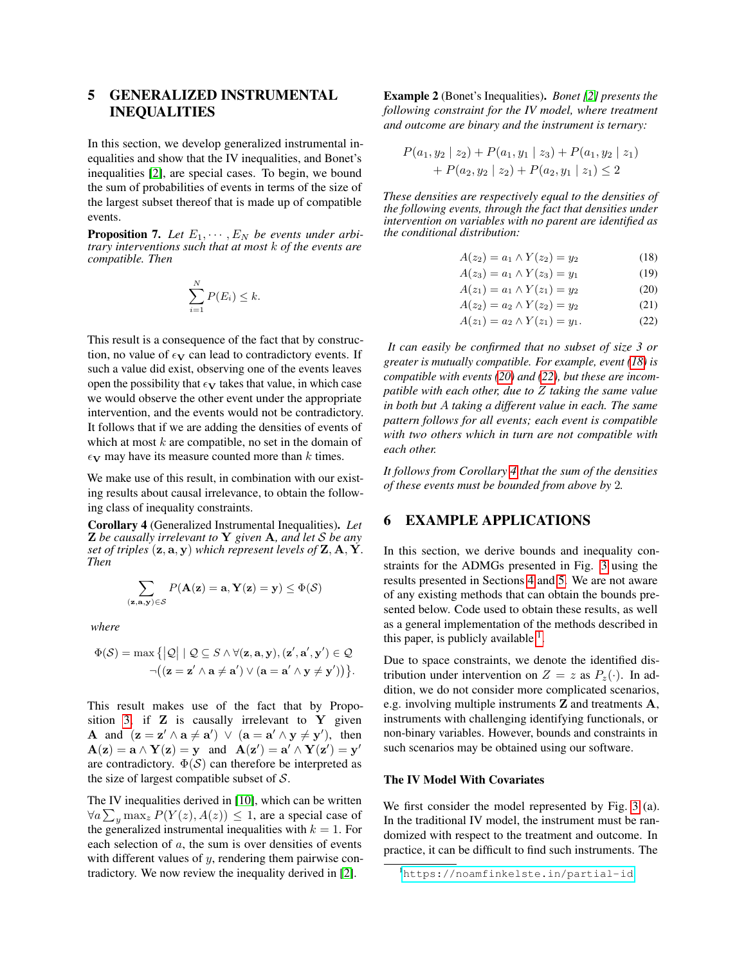## <span id="page-7-0"></span>5 GENERALIZED INSTRUMENTAL INEQUALITIES

In this section, we develop generalized instrumental inequalities and show that the IV inequalities, and Bonet's inequalities [\[2\]](#page-9-13), are special cases. To begin, we bound the sum of probabilities of events in terms of the size of the largest subset thereof that is made up of compatible events.

**Proposition 7.** Let  $E_1, \dots, E_N$  be events under arbi*trary interventions such that at most* k *of the events are compatible. Then*

$$
\sum_{i=1}^{N} P(E_i) \leq k.
$$

This result is a consequence of the fact that by construction, no value of  $\epsilon_V$  can lead to contradictory events. If such a value did exist, observing one of the events leaves open the possibility that  $\epsilon_V$  takes that value, in which case we would observe the other event under the appropriate intervention, and the events would not be contradictory. It follows that if we are adding the densities of events of which at most  $k$  are compatible, no set in the domain of  $\epsilon$ <sub>V</sub> may have its measure counted more than k times.

We make use of this result, in combination with our existing results about causal irrelevance, to obtain the following class of inequality constraints.

<span id="page-7-5"></span>Corollary 4 (Generalized Instrumental Inequalities). *Let* Z *be causally irrelevant to* Y *given* A*, and let* S *be any set of triples*  $(\mathbf{z}, \mathbf{a}, \mathbf{y})$  *which represent levels of*  $\mathbf{Z}, \mathbf{A}, \mathbf{Y}$ *. Then*

$$
\sum_{(\mathbf{z}, \mathbf{a}, \mathbf{y}) \in \mathcal{S}} P(\mathbf{A}(\mathbf{z}) = \mathbf{a}, \mathbf{Y}(\mathbf{z}) = \mathbf{y}) \leq \Phi(\mathcal{S})
$$

*where*

$$
\Phi(\mathcal{S}) = \max \left\{ |\mathcal{Q}| \mid \mathcal{Q} \subseteq \mathcal{S} \land \forall (\mathbf{z}, \mathbf{a}, \mathbf{y}), (\mathbf{z}', \mathbf{a}', \mathbf{y}') \in \mathcal{Q} \right\}
$$

$$
\neg((\mathbf{z} = \mathbf{z}' \land \mathbf{a} \neq \mathbf{a}') \lor (\mathbf{a} = \mathbf{a}' \land \mathbf{y} \neq \mathbf{y}')) \}.
$$

This result makes use of the fact that by Propo-sition [3,](#page-4-2) if  $Z$  is causally irrelevant to  $Y$  given **A** and  $(z = z' \land a \neq a') \lor (a = a' \land y \neq y')$ , then  $\mathbf{A}(\mathbf{z}) = \mathbf{a} \wedge \mathbf{Y}(\mathbf{z}) = \mathbf{y}$  and  $\mathbf{A}(\mathbf{z}') = \mathbf{a}' \wedge \mathbf{Y}(\mathbf{z}') = \mathbf{y}'$ are contradictory.  $\Phi(S)$  can therefore be interpreted as the size of largest compatible subset of  $S$ .

The IV inequalities derived in [\[10\]](#page-9-20), which can be written  $\forall a \sum_{y} \max_{z} P(Y(z), A(z)) \leq 1$ , are a special case of the generalized instrumental inequalities with  $k = 1$ . For each selection of a, the sum is over densities of events with different values of  $y$ , rendering them pairwise contradictory. We now review the inequality derived in [\[2\]](#page-9-13).

Example 2 (Bonet's Inequalities). *Bonet [\[2\]](#page-9-13) presents the following constraint for the IV model, where treatment and outcome are binary and the instrument is ternary:*

$$
P(a_1, y_2 \mid z_2) + P(a_1, y_1 \mid z_3) + P(a_1, y_2 \mid z_1) + P(a_2, y_2 \mid z_2) + P(a_2, y_1 \mid z_1) \le 2
$$

*These densities are respectively equal to the densities of the following events, through the fact that densities under intervention on variables with no parent are identified as the conditional distribution:*

<span id="page-7-2"></span>
$$
A(z_2) = a_1 \wedge Y(z_2) = y_2 \tag{18}
$$

<span id="page-7-3"></span>
$$
A(z_3) = a_1 \wedge Y(z_3) = y_1 \tag{19}
$$

$$
A(z_1) = a_1 \wedge Y(z_1) = y_2 \tag{20}
$$

$$
A(z_2) = a_2 \wedge Y(z_2) = y_2 \tag{21}
$$

<span id="page-7-4"></span>
$$
A(z_1) = a_2 \wedge Y(z_1) = y_1. \tag{22}
$$

*It can easily be confirmed that no subset of size 3 or greater is mutually compatible. For example, event [\(18\)](#page-7-2) is compatible with events [\(20\)](#page-7-3) and [\(22\)](#page-7-4), but these are incompatible with each other, due to* Z *taking the same value in both but* A *taking a different value in each. The same pattern follows for all events; each event is compatible with two others which in turn are not compatible with each other.*

*It follows from Corollary [4](#page-7-5) that the sum of the densities of these events must be bounded from above by* 2*.*

### <span id="page-7-1"></span>6 EXAMPLE APPLICATIONS

In this section, we derive bounds and inequality constraints for the ADMGs presented in Fig. [3](#page-8-0) using the results presented in Sections [4](#page-4-0) and [5.](#page-7-0) We are not aware of any existing methods that can obtain the bounds presented below. Code used to obtain these results, as well as a general implementation of the methods described in this paper, is publicly available  $<sup>1</sup>$  $<sup>1</sup>$  $<sup>1</sup>$ .</sup>

Due to space constraints, we denote the identified distribution under intervention on  $Z = z$  as  $P_z(\cdot)$ . In addition, we do not consider more complicated scenarios, e.g. involving multiple instruments Z and treatments A, instruments with challenging identifying functionals, or non-binary variables. However, bounds and constraints in such scenarios may be obtained using our software.

#### The IV Model With Covariates

We first consider the model represented by Fig. [3](#page-8-0) (a). In the traditional IV model, the instrument must be randomized with respect to the treatment and outcome. In practice, it can be difficult to find such instruments. The

<span id="page-7-6"></span><sup>1</sup><https://noamfinkelste.in/partial-id>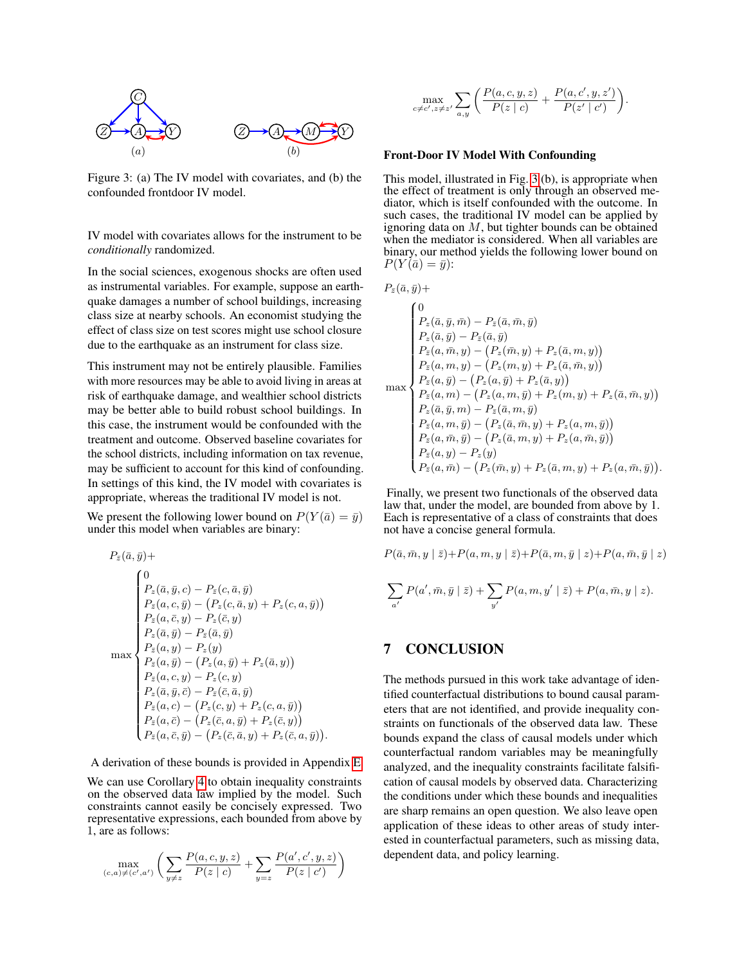<span id="page-8-0"></span>

Figure 3: (a) The IV model with covariates, and (b) the confounded frontdoor IV model.

IV model with covariates allows for the instrument to be *conditionally* randomized.

In the social sciences, exogenous shocks are often used as instrumental variables. For example, suppose an earthquake damages a number of school buildings, increasing class size at nearby schools. An economist studying the effect of class size on test scores might use school closure due to the earthquake as an instrument for class size.

This instrument may not be entirely plausible. Families with more resources may be able to avoid living in areas at risk of earthquake damage, and wealthier school districts may be better able to build robust school buildings. In this case, the instrument would be confounded with the treatment and outcome. Observed baseline covariates for the school districts, including information on tax revenue, may be sufficient to account for this kind of confounding. In settings of this kind, the IV model with covariates is appropriate, whereas the traditional IV model is not.

We present the following lower bound on  $P(Y(\bar{a}) = \bar{y})$ under this model when variables are binary:

$$
P_{\bar{z}}(\bar{a}, \bar{y}) +
$$
\n
$$
P_{\bar{z}}(\bar{a}, \bar{y}, c) - P_{\bar{z}}(c, \bar{a}, \bar{y})
$$
\n
$$
P_{\bar{z}}(a, c, \bar{y}) - (P_{z}(c, \bar{a}, y) + P_{z}(c, a, \bar{y}))
$$
\n
$$
P_{\bar{z}}(a, \bar{c}, y) - P_{z}(\bar{c}, y)
$$
\n
$$
P_{z}(\bar{a}, \bar{y}) - P_{z}(\bar{a}, \bar{y})
$$
\n
$$
P_{\bar{z}}(a, \bar{y}) - P_{z}(y)
$$
\n
$$
P_{\bar{z}}(a, \bar{y}) - (P_{z}(a, \bar{y}) + P_{z}(\bar{a}, y))
$$
\n
$$
P_{\bar{z}}(a, c, y) - P_{z}(c, y)
$$
\n
$$
P_{z}(\bar{a}, \bar{y}, \bar{c}) - P_{z}(\bar{c}, \bar{a}, \bar{y})
$$
\n
$$
P_{\bar{z}}(a, c) - (P_{z}(c, y) + P_{z}(c, a, \bar{y}))
$$
\n
$$
P_{\bar{z}}(a, \bar{c}) - (P_{z}(\bar{c}, a, \bar{y}) + P_{z}(\bar{c}, y))
$$
\n
$$
P_{\bar{z}}(a, \bar{c}, \bar{y}) - (P_{z}(\bar{c}, \bar{a}, y) + P_{z}(\bar{c}, a, \bar{y})).
$$

A derivation of these bounds is provided in Appendix [E.](#page-0-0)

We can use Corollary [4](#page-7-5) to obtain inequality constraints on the observed data law implied by the model. Such constraints cannot easily be concisely expressed. Two representative expressions, each bounded from above by 1, are as follows:

$$
\max_{(c,a)\neq (c',a')} \bigg(\sum_{y\neq z}\frac{P(a,c,y,z)}{P(z\mid c)} + \sum_{y=z}\frac{P(a',c',y,z)}{P(z\mid c')}\bigg)
$$

$$
\max_{c \neq c', z \neq z'} \sum_{a,y} \left( \frac{P(a,c,y,z)}{P(z \mid c)} + \frac{P(a,c',y,z')}{P(z' \mid c')} \right).
$$

#### Front-Door IV Model With Confounding

This model, illustrated in Fig. [3](#page-8-0) (b), is appropriate when the effect of treatment is only through an observed mediator, which is itself confounded with the outcome. In such cases, the traditional IV model can be applied by ignoring data on  $M$ , but tighter bounds can be obtained when the mediator is considered. When all variables are binary, our method yields the following lower bound on  $P(Y(\bar{a}) = \bar{y})$ :

$$
P_{\bar{z}}(\bar{a}, \bar{y}) +
$$
\n
$$
P_{\bar{z}}(\bar{a}, \bar{y}) + P_{\bar{z}}(\bar{a}, \bar{y}) - P_{\bar{z}}(\bar{a}, \bar{m}, \bar{y})
$$
\n
$$
P_{z}(\bar{a}, \bar{y}) - P_{\bar{z}}(\bar{a}, \bar{y})
$$
\n
$$
P_{\bar{z}}(a, \bar{m}, y) - (P_{z}(\bar{m}, y) + P_{z}(\bar{a}, m, y))
$$
\n
$$
P_{\bar{z}}(a, m, y) - (P_{z}(m, y) + P_{z}(\bar{a}, \bar{m}, y))
$$
\n
$$
P_{\bar{z}}(a, \bar{y}) - (P_{z}(a, \bar{y}) + P_{z}(\bar{a}, y))
$$
\n
$$
P_{z}(\bar{a}, \bar{y}) - (P_{z}(a, m, \bar{y}) + P_{z}(m, y) + P_{z}(\bar{a}, \bar{m}, y))
$$
\n
$$
P_{z}(\bar{a}, \bar{y}, m) - P_{\bar{z}}(\bar{a}, m, \bar{y})
$$
\n
$$
P_{\bar{z}}(a, m, \bar{y}) - (P_{z}(\bar{a}, \bar{m}, y) + P_{z}(a, m, \bar{y}))
$$
\n
$$
P_{\bar{z}}(a, \bar{m}, \bar{y}) - (P_{z}(\bar{a}, m, y) + P_{z}(\bar{a}, \bar{m}, \bar{y}))
$$
\n
$$
P_{\bar{z}}(a, \bar{y}) - P_{z}(y)
$$
\n
$$
P_{\bar{z}}(a, \bar{m}) - (P_{z}(\bar{m}, y) + P_{z}(\bar{a}, m, y) + P_{z}(a, \bar{m}, \bar{y})).
$$

Finally, we present two functionals of the observed data law that, under the model, are bounded from above by 1. Each is representative of a class of constraints that does not have a concise general formula.

$$
P(\bar{a}, \bar{m}, y \mid \bar{z}) + P(a, m, y \mid \bar{z}) + P(\bar{a}, m, \bar{y} \mid z) + P(a, \bar{m}, \bar{y} \mid z)
$$

$$
\sum_{a'} P(a', \bar{m}, \bar{y} \mid \bar{z}) + \sum_{y'} P(a, m, y' \mid \bar{z}) + P(a, \bar{m}, y \mid z).
$$

## 7 CONCLUSION

The methods pursued in this work take advantage of identified counterfactual distributions to bound causal parameters that are not identified, and provide inequality constraints on functionals of the observed data law. These bounds expand the class of causal models under which counterfactual random variables may be meaningfully analyzed, and the inequality constraints facilitate falsification of causal models by observed data. Characterizing the conditions under which these bounds and inequalities are sharp remains an open question. We also leave open application of these ideas to other areas of study interested in counterfactual parameters, such as missing data, dependent data, and policy learning.